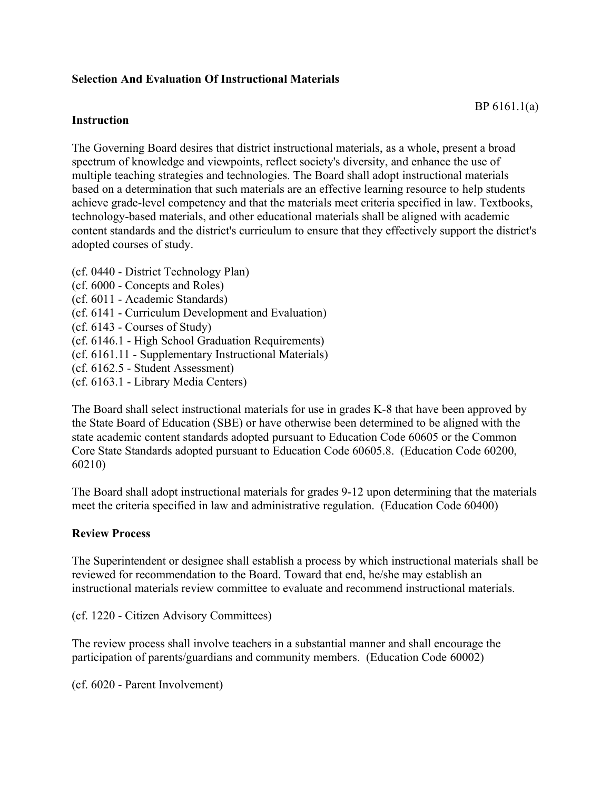## **Selection And Evaluation Of Instructional Materials**

### **Instruction**

The Governing Board desires that district instructional materials, as a whole, present a broad spectrum of knowledge and viewpoints, reflect society's diversity, and enhance the use of multiple teaching strategies and technologies. The Board shall adopt instructional materials based on a determination that such materials are an effective learning resource to help students achieve grade-level competency and that the materials meet criteria specified in law. Textbooks, technology-based materials, and other educational materials shall be aligned with academic content standards and the district's curriculum to ensure that they effectively support the district's adopted courses of study.

(cf. 0440 - District Technology Plan) (cf. 6000 - Concepts and Roles) (cf. 6011 - Academic Standards) (cf. 6141 - Curriculum Development and Evaluation) (cf. 6143 - Courses of Study) (cf. 6146.1 - High School Graduation Requirements) (cf. 6161.11 - Supplementary Instructional Materials) (cf. 6162.5 - Student Assessment) (cf. 6163.1 - Library Media Centers)

The Board shall select instructional materials for use in grades K-8 that have been approved by the State Board of Education (SBE) or have otherwise been determined to be aligned with the state academic content standards adopted pursuant to Education Code 60605 or the Common Core State Standards adopted pursuant to Education Code 60605.8. (Education Code 60200, 60210)

The Board shall adopt instructional materials for grades 9-12 upon determining that the materials meet the criteria specified in law and administrative regulation. (Education Code 60400)

# **Review Process**

The Superintendent or designee shall establish a process by which instructional materials shall be reviewed for recommendation to the Board. Toward that end, he/she may establish an instructional materials review committee to evaluate and recommend instructional materials.

(cf. 1220 - Citizen Advisory Committees)

The review process shall involve teachers in a substantial manner and shall encourage the participation of parents/guardians and community members. (Education Code 60002)

(cf. 6020 - Parent Involvement)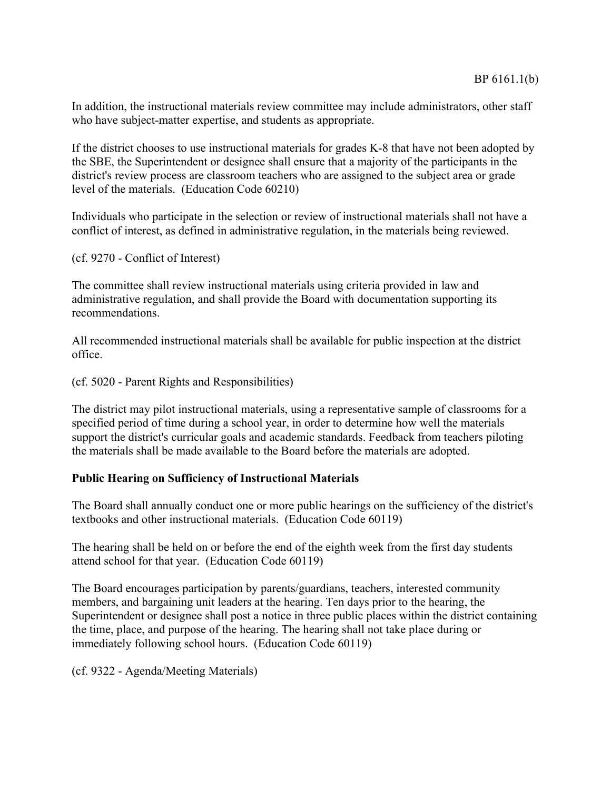In addition, the instructional materials review committee may include administrators, other staff who have subject-matter expertise, and students as appropriate.

If the district chooses to use instructional materials for grades K-8 that have not been adopted by the SBE, the Superintendent or designee shall ensure that a majority of the participants in the district's review process are classroom teachers who are assigned to the subject area or grade level of the materials. (Education Code 60210)

Individuals who participate in the selection or review of instructional materials shall not have a conflict of interest, as defined in administrative regulation, in the materials being reviewed.

(cf. 9270 - Conflict of Interest)

The committee shall review instructional materials using criteria provided in law and administrative regulation, and shall provide the Board with documentation supporting its recommendations.

All recommended instructional materials shall be available for public inspection at the district office.

(cf. 5020 - Parent Rights and Responsibilities)

The district may pilot instructional materials, using a representative sample of classrooms for a specified period of time during a school year, in order to determine how well the materials support the district's curricular goals and academic standards. Feedback from teachers piloting the materials shall be made available to the Board before the materials are adopted.

### **Public Hearing on Sufficiency of Instructional Materials**

The Board shall annually conduct one or more public hearings on the sufficiency of the district's textbooks and other instructional materials. (Education Code 60119)

The hearing shall be held on or before the end of the eighth week from the first day students attend school for that year. (Education Code 60119)

The Board encourages participation by parents/guardians, teachers, interested community members, and bargaining unit leaders at the hearing. Ten days prior to the hearing, the Superintendent or designee shall post a notice in three public places within the district containing the time, place, and purpose of the hearing. The hearing shall not take place during or immediately following school hours. (Education Code 60119)

(cf. 9322 - Agenda/Meeting Materials)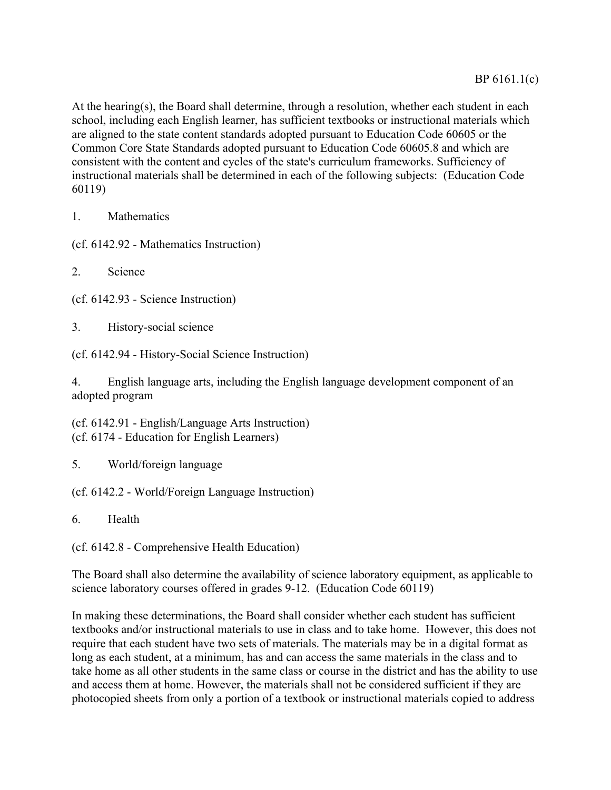At the hearing(s), the Board shall determine, through a resolution, whether each student in each school, including each English learner, has sufficient textbooks or instructional materials which are aligned to the state content standards adopted pursuant to Education Code 60605 or the Common Core State Standards adopted pursuant to Education Code 60605.8 and which are consistent with the content and cycles of the state's curriculum frameworks. Sufficiency of instructional materials shall be determined in each of the following subjects: (Education Code 60119)

1. Mathematics

(cf. 6142.92 - Mathematics Instruction)

2. Science

(cf. 6142.93 - Science Instruction)

3. History-social science

(cf. 6142.94 - History-Social Science Instruction)

4. English language arts, including the English language development component of an adopted program

(cf. 6142.91 - English/Language Arts Instruction) (cf. 6174 - Education for English Learners)

5. World/foreign language

(cf. 6142.2 - World/Foreign Language Instruction)

6. Health

(cf. 6142.8 - Comprehensive Health Education)

The Board shall also determine the availability of science laboratory equipment, as applicable to science laboratory courses offered in grades 9-12. (Education Code 60119)

In making these determinations, the Board shall consider whether each student has sufficient textbooks and/or instructional materials to use in class and to take home. However, this does not require that each student have two sets of materials. The materials may be in a digital format as long as each student, at a minimum, has and can access the same materials in the class and to take home as all other students in the same class or course in the district and has the ability to use and access them at home. However, the materials shall not be considered sufficient if they are photocopied sheets from only a portion of a textbook or instructional materials copied to address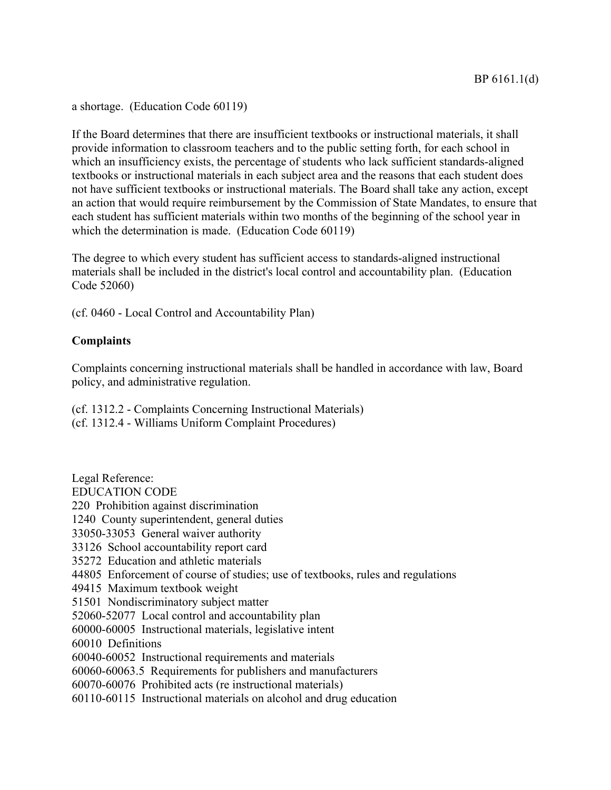a shortage. (Education Code 60119)

If the Board determines that there are insufficient textbooks or instructional materials, it shall provide information to classroom teachers and to the public setting forth, for each school in which an insufficiency exists, the percentage of students who lack sufficient standards-aligned textbooks or instructional materials in each subject area and the reasons that each student does not have sufficient textbooks or instructional materials. The Board shall take any action, except an action that would require reimbursement by the Commission of State Mandates, to ensure that each student has sufficient materials within two months of the beginning of the school year in which the determination is made. (Education Code 60119)

The degree to which every student has sufficient access to standards-aligned instructional materials shall be included in the district's local control and accountability plan. (Education Code 52060)

(cf. 0460 - Local Control and Accountability Plan)

### **Complaints**

Complaints concerning instructional materials shall be handled in accordance with law, Board policy, and administrative regulation.

(cf. 1312.2 - Complaints Concerning Instructional Materials)

(cf. 1312.4 - Williams Uniform Complaint Procedures)

Legal Reference: EDUCATION CODE 220 Prohibition against discrimination 1240 County superintendent, general duties 33050-33053 General waiver authority 33126 School accountability report card 35272 Education and athletic materials 44805 Enforcement of course of studies; use of textbooks, rules and regulations 49415 Maximum textbook weight 51501 Nondiscriminatory subject matter 52060-52077 Local control and accountability plan 60000-60005 Instructional materials, legislative intent 60010 Definitions 60040-60052 Instructional requirements and materials 60060-60063.5 Requirements for publishers and manufacturers 60070-60076 Prohibited acts (re instructional materials) 60110-60115 Instructional materials on alcohol and drug education